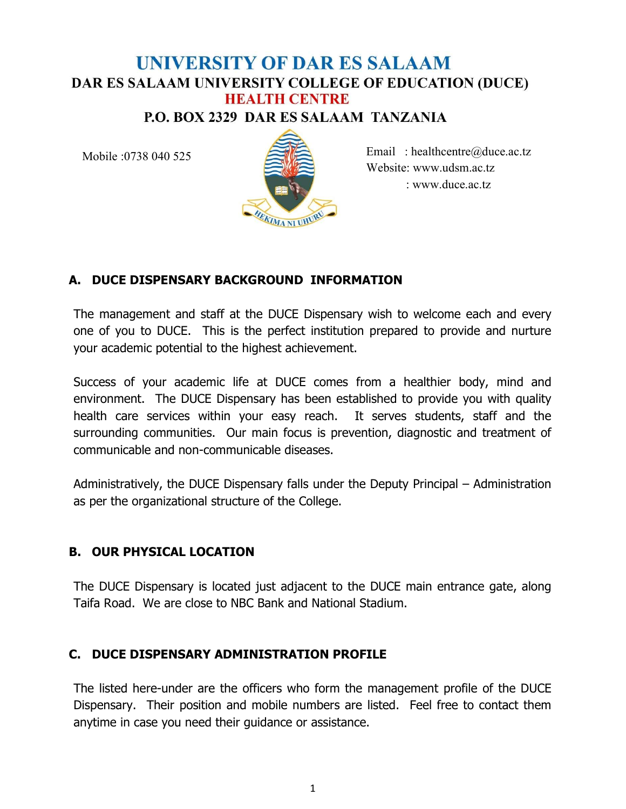# **UNIVERSITY OF DAR ES SALAAM** DAR ES SALAAM UNIVERSITY COLLEGE OF EDUCATION (DUCE) **HEALTH CENTRE**

**P.O. BOX 2329 DAR ES SALAAM TANZANIA** 

Mobile :0738 040 525



Email : healthcentre@duce.ac.tz Website: www.udsm.ac.tz : www.duce.ac.tz

## A. DUCE DISPENSARY BACKGROUND INFORMATION

The management and staff at the DUCE Dispensary wish to welcome each and every one of you to DUCE. This is the perfect institution prepared to provide and nurture your academic potential to the highest achievement.

Success of your academic life at DUCE comes from a healthier body, mind and environment. The DUCE Dispensary has been established to provide you with quality health care services within your easy reach. It serves students, staff and the surrounding communities. Our main focus is prevention, diagnostic and treatment of communicable and non-communicable diseases.

Administratively, the DUCE Dispensary falls under the Deputy Principal – Administration as per the organizational structure of the College.

#### B. OUR PHYSICAL LOCATION

The DUCE Dispensary is located just adjacent to the DUCE main entrance gate, along Taifa Road. We are close to NBC Bank and National Stadium.

#### C. DUCE DISPENSARY ADMINISTRATION PROFILE

The listed here-under are the officers who form the management profile of the DUCE Dispensary. Their position and mobile numbers are listed. Feel free to contact them anytime in case you need their guidance or assistance.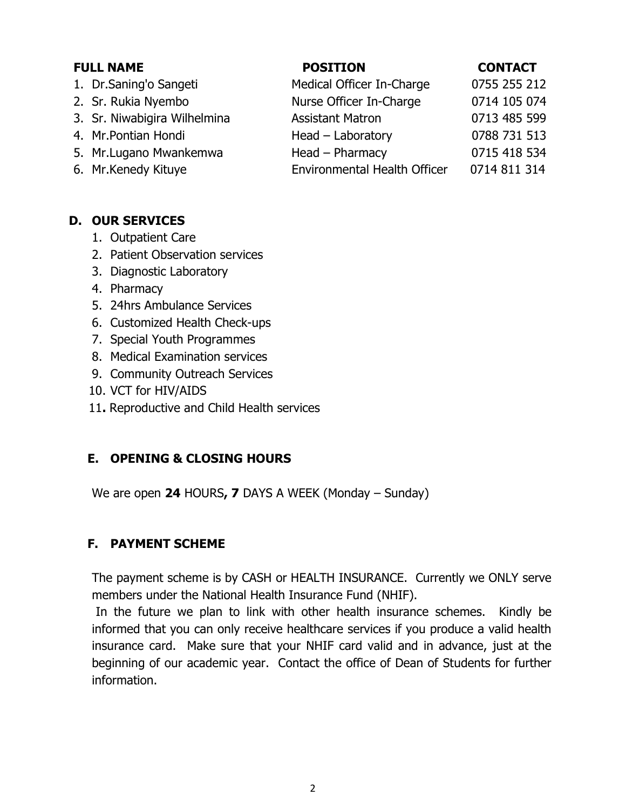| <b>FULL NAME</b> |                              | <b>POSITION</b>                     | <b>CONTACT</b> |
|------------------|------------------------------|-------------------------------------|----------------|
|                  | 1. Dr.Saning'o Sangeti       | Medical Officer In-Charge           | 0755 255 212   |
|                  | 2. Sr. Rukia Nyembo          | Nurse Officer In-Charge             | 0714 105 074   |
|                  | 3. Sr. Niwabigira Wilhelmina | <b>Assistant Matron</b>             | 0713 485 599   |
|                  | 4. Mr. Pontian Hondi         | $Head - Laboratory$                 | 0788 731 513   |
|                  | 5. Mr.Lugano Mwankemwa       | Head - Pharmacy                     | 0715 418 534   |
|                  | 6. Mr.Kenedy Kituye          | <b>Environmental Health Officer</b> | 0714 811 314   |

#### D. OUR SERVICES

- 1. Outpatient Care
- 2. Patient Observation services
- 3. Diagnostic Laboratory
- 4. Pharmacy
- 5. 24hrs Ambulance Services
- 6. Customized Health Check-ups
- 7. Special Youth Programmes
- 8. Medical Examination services
- 9. Community Outreach Services
- 10. VCT for HIV/AIDS
- 11. Reproductive and Child Health services

#### E. OPENING & CLOSING HOURS

We are open 24 HOURS, 7 DAYS A WEEK (Monday – Sunday)

#### F. PAYMENT SCHEME

The payment scheme is by CASH or HEALTH INSURANCE. Currently we ONLY serve members under the National Health Insurance Fund (NHIF).

 In the future we plan to link with other health insurance schemes. Kindly be informed that you can only receive healthcare services if you produce a valid health insurance card. Make sure that your NHIF card valid and in advance, just at the beginning of our academic year. Contact the office of Dean of Students for further information.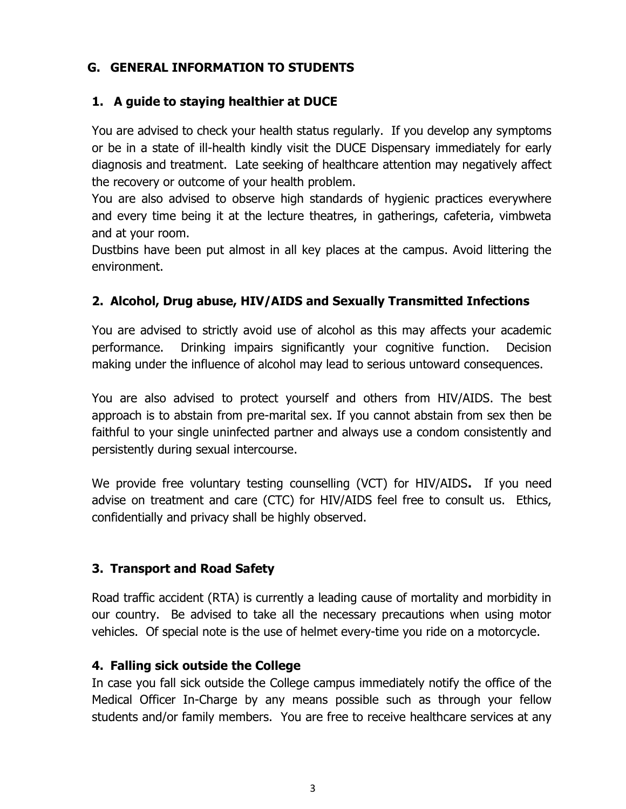## G. GENERAL INFORMATION TO STUDENTS

#### 1. A guide to staying healthier at DUCE

You are advised to check your health status regularly. If you develop any symptoms or be in a state of ill-health kindly visit the DUCE Dispensary immediately for early diagnosis and treatment. Late seeking of healthcare attention may negatively affect the recovery or outcome of your health problem.

You are also advised to observe high standards of hygienic practices everywhere and every time being it at the lecture theatres, in gatherings, cafeteria, vimbweta and at your room.

Dustbins have been put almost in all key places at the campus. Avoid littering the environment.

## 2. Alcohol, Drug abuse, HIV/AIDS and Sexually Transmitted Infections

You are advised to strictly avoid use of alcohol as this may affects your academic performance. Drinking impairs significantly your cognitive function. Decision making under the influence of alcohol may lead to serious untoward consequences.

You are also advised to protect yourself and others from HIV/AIDS. The best approach is to abstain from pre-marital sex. If you cannot abstain from sex then be faithful to your single uninfected partner and always use a condom consistently and persistently during sexual intercourse.

We provide free voluntary testing counselling (VCT) for HIV/AIDS. If you need advise on treatment and care (CTC) for HIV/AIDS feel free to consult us. Ethics, confidentially and privacy shall be highly observed.

#### 3. Transport and Road Safety

Road traffic accident (RTA) is currently a leading cause of mortality and morbidity in our country. Be advised to take all the necessary precautions when using motor vehicles. Of special note is the use of helmet every-time you ride on a motorcycle.

#### 4. Falling sick outside the College

In case you fall sick outside the College campus immediately notify the office of the Medical Officer In-Charge by any means possible such as through your fellow students and/or family members. You are free to receive healthcare services at any